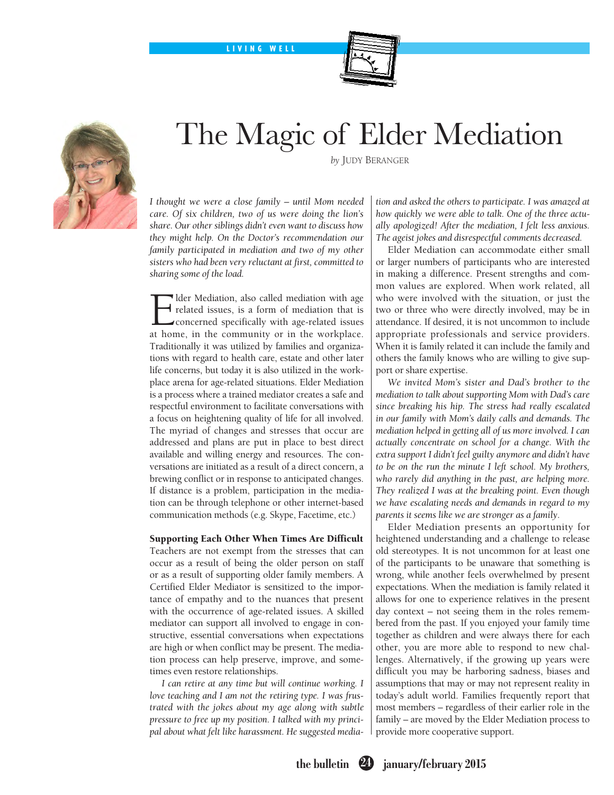LIVING WELL



## The Magic of Elder Mediation



*I thought we were a close family – until Mom needed care. Of six children, two of us were doing the lion's share. Our other siblings didn't even want to discuss how they might help. On the Doctor's recommendation our family participated in mediation and two of my other sisters who had been very reluctant at first, committed to sharing some of the load.* 

lder Mediation, also called mediation with age related issues, is a form of mediation that is concerned specifically with age-related issues at home, in the community or in the workplace. Traditionally it was utilized by families and organizations with regard to health care, estate and other later life concerns, but today it is also utilized in the workplace arena for age-related situations. Elder Mediation is a process where a trained mediator creates a safe and respectful environment to facilitate conversations with a focus on heightening quality of life for all involved. The myriad of changes and stresses that occur are addressed and plans are put in place to best direct available and willing energy and resources. The conversations are initiated as a result of a direct concern, a brewing conflict or in response to anticipated changes. If distance is a problem, participation in the mediation can be through telephone or other internet-based communication methods (e.g. Skype, Facetime, etc.)

## Supporting Each Other When Times Are Difficult

Teachers are not exempt from the stresses that can occur as a result of being the older person on staff or as a result of supporting older family members. A Certified Elder Mediator is sensitized to the importance of empathy and to the nuances that present with the occurrence of age-related issues. A skilled mediator can support all involved to engage in constructive, essential conversations when expectations are high or when conflict may be present. The mediation process can help preserve, improve, and sometimes even restore relationships.

*I can retire at any time but will continue working. I love teaching and I am not the retiring type. I was frustrated with the jokes about my age along with subtle pressure to free up my position. I talked with my principal about what felt like harassment. He suggested media-* *tion and asked the others to participate. I was amazed at how quickly we were able to talk. One of the three actually apologized! After the mediation, I felt less anxious. The ageist jokes and disrespectful comments decreased.* 

Elder Mediation can accommodate either small or larger numbers of participants who are interested in making a difference. Present strengths and common values are explored. When work related, all who were involved with the situation, or just the two or three who were directly involved, may be in attendance. If desired, it is not uncommon to include appropriate professionals and service providers. When it is family related it can include the family and others the family knows who are willing to give support or share expertise.

*We invited Mom's sister and Dad's brother to the mediation to talk about supporting Mom with Dad's care since breaking his hip. The stress had really escalated in our family with Mom's daily calls and demands. The mediation helped in getting all of us more involved. I can actually concentrate on school for a change. With the extra support I didn't feel guilty anymore and didn't have to be on the run the minute I left school. My brothers, who rarely did anything in the past, are helping more. They realized I was at the breaking point. Even though we have escalating needs and demands in regard to my parents it seems like we are stronger as a family.* 

Elder Mediation presents an opportunity for heightened understanding and a challenge to release old stereotypes. It is not uncommon for at least one of the participants to be unaware that something is wrong, while another feels overwhelmed by present expectations. When the mediation is family related it allows for one to experience relatives in the present day context – not seeing them in the roles remembered from the past. If you enjoyed your family time together as children and were always there for each other, you are more able to respond to new challenges. Alternatively, if the growing up years were difficult you may be harboring sadness, biases and assumptions that may or may not represent reality in today's adult world. Families frequently report that most members – regardless of their earlier role in the family – are moved by the Elder Mediation process to provide more cooperative support.